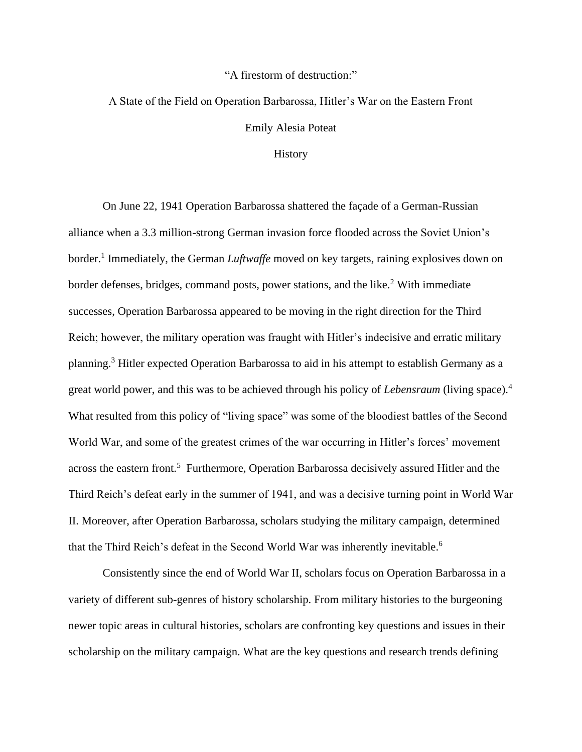## "A firestorm of destruction:"

## A State of the Field on Operation Barbarossa, Hitler's War on the Eastern Front Emily Alesia Poteat

## History

On June 22, 1941 Operation Barbarossa shattered the façade of a German-Russian alliance when a 3.3 million-strong German invasion force flooded across the Soviet Union's border.<sup>1</sup> Immediately, the German *Luftwaffe* moved on key targets, raining explosives down on border defenses, bridges, command posts, power stations, and the like.<sup>2</sup> With immediate successes, Operation Barbarossa appeared to be moving in the right direction for the Third Reich; however, the military operation was fraught with Hitler's indecisive and erratic military planning.<sup>3</sup> Hitler expected Operation Barbarossa to aid in his attempt to establish Germany as a great world power, and this was to be achieved through his policy of *Lebensraum* (living space). 4 What resulted from this policy of "living space" was some of the bloodiest battles of the Second World War, and some of the greatest crimes of the war occurring in Hitler's forces' movement across the eastern front.<sup>5</sup> Furthermore, Operation Barbarossa decisively assured Hitler and the Third Reich's defeat early in the summer of 1941, and was a decisive turning point in World War II. Moreover, after Operation Barbarossa, scholars studying the military campaign, determined that the Third Reich's defeat in the Second World War was inherently inevitable.<sup>6</sup>

Consistently since the end of World War II, scholars focus on Operation Barbarossa in a variety of different sub-genres of history scholarship. From military histories to the burgeoning newer topic areas in cultural histories, scholars are confronting key questions and issues in their scholarship on the military campaign. What are the key questions and research trends defining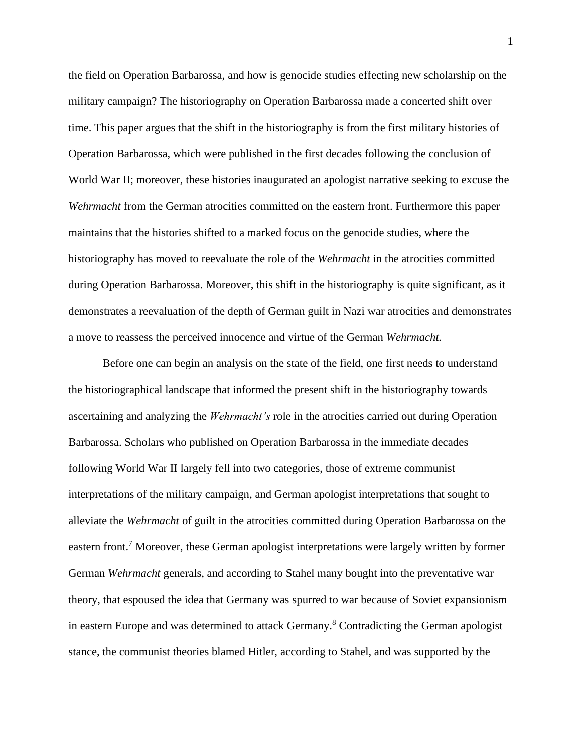the field on Operation Barbarossa, and how is genocide studies effecting new scholarship on the military campaign? The historiography on Operation Barbarossa made a concerted shift over time. This paper argues that the shift in the historiography is from the first military histories of Operation Barbarossa, which were published in the first decades following the conclusion of World War II; moreover, these histories inaugurated an apologist narrative seeking to excuse the *Wehrmacht* from the German atrocities committed on the eastern front. Furthermore this paper maintains that the histories shifted to a marked focus on the genocide studies, where the historiography has moved to reevaluate the role of the *Wehrmacht* in the atrocities committed during Operation Barbarossa. Moreover, this shift in the historiography is quite significant, as it demonstrates a reevaluation of the depth of German guilt in Nazi war atrocities and demonstrates a move to reassess the perceived innocence and virtue of the German *Wehrmacht.* 

Before one can begin an analysis on the state of the field, one first needs to understand the historiographical landscape that informed the present shift in the historiography towards ascertaining and analyzing the *Wehrmacht's* role in the atrocities carried out during Operation Barbarossa. Scholars who published on Operation Barbarossa in the immediate decades following World War II largely fell into two categories, those of extreme communist interpretations of the military campaign, and German apologist interpretations that sought to alleviate the *Wehrmacht* of guilt in the atrocities committed during Operation Barbarossa on the eastern front.<sup>7</sup> Moreover, these German apologist interpretations were largely written by former German *Wehrmacht* generals, and according to Stahel many bought into the preventative war theory, that espoused the idea that Germany was spurred to war because of Soviet expansionism in eastern Europe and was determined to attack Germany.<sup>8</sup> Contradicting the German apologist stance, the communist theories blamed Hitler, according to Stahel, and was supported by the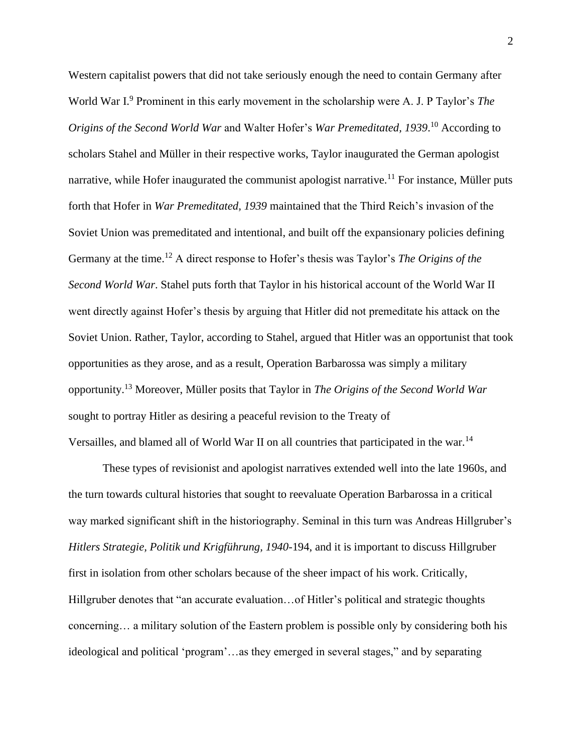Western capitalist powers that did not take seriously enough the need to contain Germany after World War I.<sup>9</sup> Prominent in this early movement in the scholarship were A. J. P Taylor's *The Origins of the Second World War* and Walter Hofer's *War Premeditated, 1939*. <sup>10</sup> According to scholars Stahel and Müller in their respective works, Taylor inaugurated the German apologist narrative, while Hofer inaugurated the communist apologist narrative.<sup>11</sup> For instance, Müller puts forth that Hofer in *War Premeditated, 1939* maintained that the Third Reich's invasion of the Soviet Union was premeditated and intentional, and built off the expansionary policies defining Germany at the time.<sup>12</sup> A direct response to Hofer's thesis was Taylor's *The Origins of the Second World War*. Stahel puts forth that Taylor in his historical account of the World War II went directly against Hofer's thesis by arguing that Hitler did not premeditate his attack on the Soviet Union. Rather, Taylor, according to Stahel, argued that Hitler was an opportunist that took opportunities as they arose, and as a result, Operation Barbarossa was simply a military opportunity.<sup>13</sup> Moreover, Müller posits that Taylor in *The Origins of the Second World War* sought to portray Hitler as desiring a peaceful revision to the Treaty of Versailles, and blamed all of World War II on all countries that participated in the war.<sup>14</sup>

These types of revisionist and apologist narratives extended well into the late 1960s, and the turn towards cultural histories that sought to reevaluate Operation Barbarossa in a critical way marked significant shift in the historiography. Seminal in this turn was Andreas Hillgruber's *Hitlers Strategie, Politik und Krigführung, 1940-*194, and it is important to discuss Hillgruber first in isolation from other scholars because of the sheer impact of his work. Critically, Hillgruber denotes that "an accurate evaluation…of Hitler's political and strategic thoughts concerning… a military solution of the Eastern problem is possible only by considering both his ideological and political 'program'…as they emerged in several stages," and by separating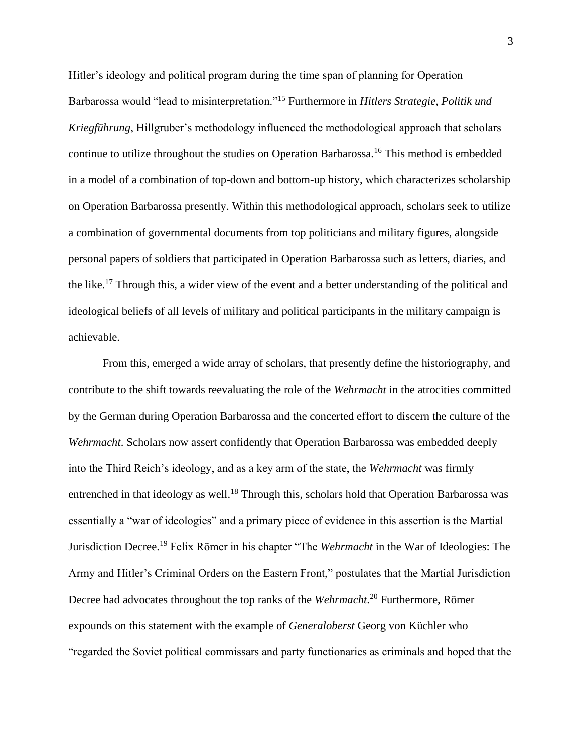Hitler's ideology and political program during the time span of planning for Operation Barbarossa would "lead to misinterpretation."<sup>15</sup> Furthermore in *Hitlers Strategie, Politik und Kriegführung*, Hillgruber's methodology influenced the methodological approach that scholars continue to utilize throughout the studies on Operation Barbarossa.<sup>16</sup> This method is embedded in a model of a combination of top-down and bottom-up history, which characterizes scholarship on Operation Barbarossa presently. Within this methodological approach, scholars seek to utilize a combination of governmental documents from top politicians and military figures, alongside personal papers of soldiers that participated in Operation Barbarossa such as letters, diaries, and the like.<sup>17</sup> Through this, a wider view of the event and a better understanding of the political and ideological beliefs of all levels of military and political participants in the military campaign is achievable.

From this, emerged a wide array of scholars, that presently define the historiography, and contribute to the shift towards reevaluating the role of the *Wehrmacht* in the atrocities committed by the German during Operation Barbarossa and the concerted effort to discern the culture of the *Wehrmacht*. Scholars now assert confidently that Operation Barbarossa was embedded deeply into the Third Reich's ideology, and as a key arm of the state, the *Wehrmacht* was firmly entrenched in that ideology as well.<sup>18</sup> Through this, scholars hold that Operation Barbarossa was essentially a "war of ideologies" and a primary piece of evidence in this assertion is the Martial Jurisdiction Decree.<sup>19</sup> Felix Römer in his chapter "The *Wehrmacht* in the War of Ideologies: The Army and Hitler's Criminal Orders on the Eastern Front," postulates that the Martial Jurisdiction Decree had advocates throughout the top ranks of the *Wehrmacht*. <sup>20</sup> Furthermore, Römer expounds on this statement with the example of *Generaloberst* Georg von Küchler who "regarded the Soviet political commissars and party functionaries as criminals and hoped that the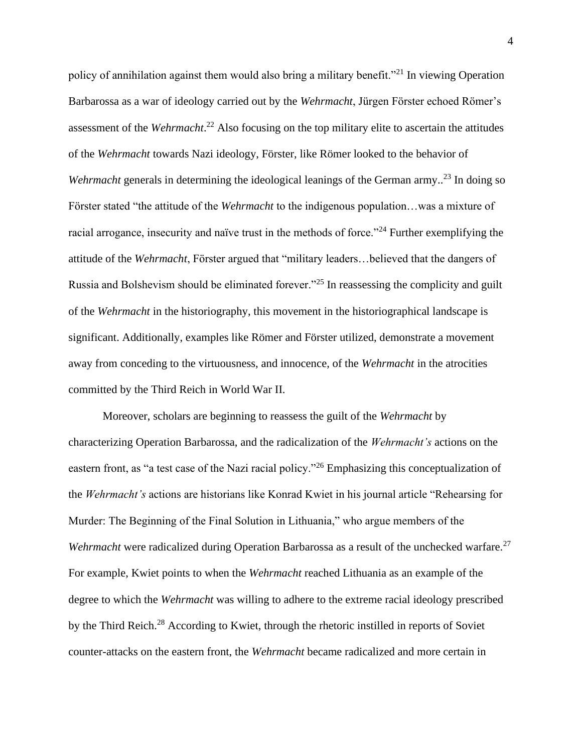policy of annihilation against them would also bring a military benefit."<sup>21</sup> In viewing Operation Barbarossa as a war of ideology carried out by the *Wehrmacht*, Jürgen Förster echoed Römer's assessment of the *Wehrmacht*. <sup>22</sup> Also focusing on the top military elite to ascertain the attitudes of the *Wehrmacht* towards Nazi ideology, Förster, like Römer looked to the behavior of *Wehrmacht* generals in determining the ideological leanings of the German army..<sup>23</sup> In doing so Förster stated "the attitude of the *Wehrmacht* to the indigenous population…was a mixture of racial arrogance, insecurity and naïve trust in the methods of force."<sup>24</sup> Further exemplifying the attitude of the *Wehrmacht*, Förster argued that "military leaders…believed that the dangers of Russia and Bolshevism should be eliminated forever."<sup>25</sup> In reassessing the complicity and guilt of the *Wehrmacht* in the historiography, this movement in the historiographical landscape is significant. Additionally, examples like Römer and Förster utilized, demonstrate a movement away from conceding to the virtuousness, and innocence, of the *Wehrmacht* in the atrocities committed by the Third Reich in World War II.

Moreover, scholars are beginning to reassess the guilt of the *Wehrmacht* by characterizing Operation Barbarossa, and the radicalization of the *Wehrmacht's* actions on the eastern front, as "a test case of the Nazi racial policy."<sup>26</sup> Emphasizing this conceptualization of the *Wehrmacht's* actions are historians like Konrad Kwiet in his journal article "Rehearsing for Murder: The Beginning of the Final Solution in Lithuania," who argue members of the *Wehrmacht* were radicalized during Operation Barbarossa as a result of the unchecked warfare.<sup>27</sup> For example, Kwiet points to when the *Wehrmacht* reached Lithuania as an example of the degree to which the *Wehrmacht* was willing to adhere to the extreme racial ideology prescribed by the Third Reich.<sup>28</sup> According to Kwiet, through the rhetoric instilled in reports of Soviet counter-attacks on the eastern front, the *Wehrmacht* became radicalized and more certain in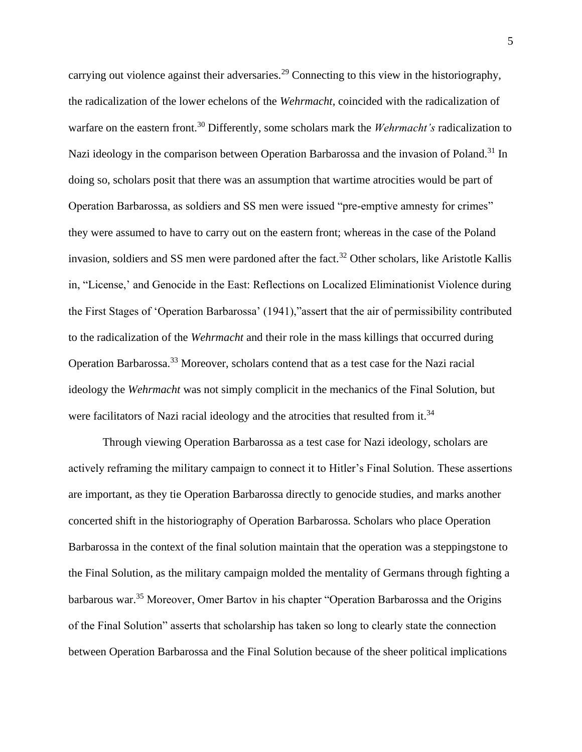carrying out violence against their adversaries.<sup>29</sup> Connecting to this view in the historiography, the radicalization of the lower echelons of the *Wehrmacht*, coincided with the radicalization of warfare on the eastern front.<sup>30</sup> Differently, some scholars mark the *Wehrmacht's* radicalization to Nazi ideology in the comparison between Operation Barbarossa and the invasion of Poland.<sup>31</sup> In doing so, scholars posit that there was an assumption that wartime atrocities would be part of Operation Barbarossa, as soldiers and SS men were issued "pre-emptive amnesty for crimes" they were assumed to have to carry out on the eastern front; whereas in the case of the Poland invasion, soldiers and SS men were pardoned after the fact.<sup>32</sup> Other scholars, like Aristotle Kallis in, "License,' and Genocide in the East: Reflections on Localized Eliminationist Violence during the First Stages of 'Operation Barbarossa' (1941),"assert that the air of permissibility contributed to the radicalization of the *Wehrmacht* and their role in the mass killings that occurred during Operation Barbarossa.<sup>33</sup> Moreover, scholars contend that as a test case for the Nazi racial ideology the *Wehrmacht* was not simply complicit in the mechanics of the Final Solution, but were facilitators of Nazi racial ideology and the atrocities that resulted from it.<sup>34</sup>

Through viewing Operation Barbarossa as a test case for Nazi ideology, scholars are actively reframing the military campaign to connect it to Hitler's Final Solution. These assertions are important, as they tie Operation Barbarossa directly to genocide studies, and marks another concerted shift in the historiography of Operation Barbarossa. Scholars who place Operation Barbarossa in the context of the final solution maintain that the operation was a steppingstone to the Final Solution, as the military campaign molded the mentality of Germans through fighting a barbarous war.<sup>35</sup> Moreover, Omer Bartov in his chapter "Operation Barbarossa and the Origins of the Final Solution" asserts that scholarship has taken so long to clearly state the connection between Operation Barbarossa and the Final Solution because of the sheer political implications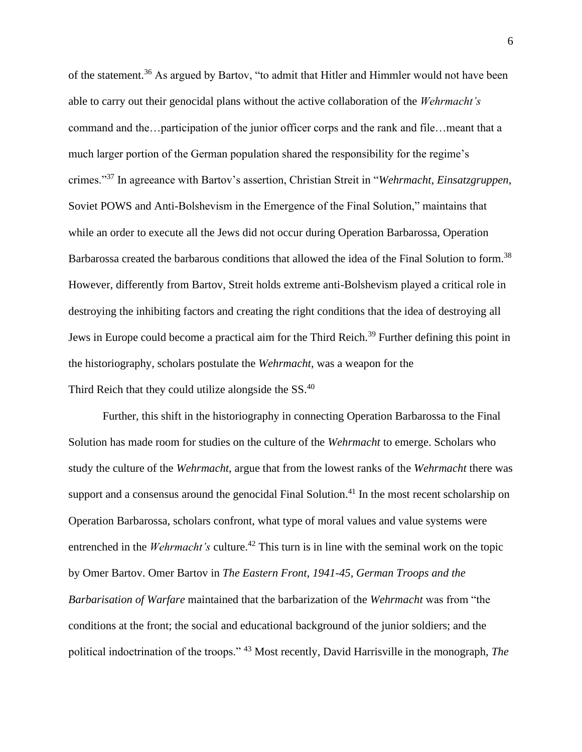of the statement.<sup>36</sup> As argued by Bartov, "to admit that Hitler and Himmler would not have been able to carry out their genocidal plans without the active collaboration of the *Wehrmacht's* command and the…participation of the junior officer corps and the rank and file…meant that a much larger portion of the German population shared the responsibility for the regime's crimes."<sup>37</sup> In agreeance with Bartov's assertion, Christian Streit in "*Wehrmacht*, *Einsatzgruppen*, Soviet POWS and Anti-Bolshevism in the Emergence of the Final Solution," maintains that while an order to execute all the Jews did not occur during Operation Barbarossa, Operation Barbarossa created the barbarous conditions that allowed the idea of the Final Solution to form.<sup>38</sup> However, differently from Bartov, Streit holds extreme anti-Bolshevism played a critical role in destroying the inhibiting factors and creating the right conditions that the idea of destroying all Jews in Europe could become a practical aim for the Third Reich.<sup>39</sup> Further defining this point in the historiography, scholars postulate the *Wehrmacht*, was a weapon for the Third Reich that they could utilize alongside the SS.<sup>40</sup>

Further, this shift in the historiography in connecting Operation Barbarossa to the Final Solution has made room for studies on the culture of the *Wehrmacht* to emerge. Scholars who study the culture of the *Wehrmacht*, argue that from the lowest ranks of the *Wehrmacht* there was support and a consensus around the genocidal Final Solution.<sup>41</sup> In the most recent scholarship on Operation Barbarossa, scholars confront, what type of moral values and value systems were entrenched in the *Wehrmacht's* culture.<sup>42</sup> This turn is in line with the seminal work on the topic by Omer Bartov. Omer Bartov in *The Eastern Front, 1941-45, German Troops and the Barbarisation of Warfare* maintained that the barbarization of the *Wehrmacht* was from "the conditions at the front; the social and educational background of the junior soldiers; and the political indoctrination of the troops." <sup>43</sup> Most recently, David Harrisville in the monograph, *The*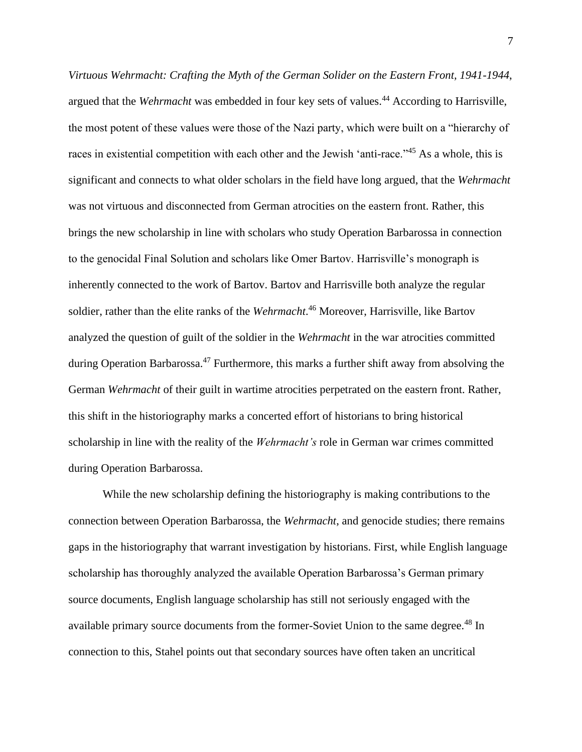*Virtuous Wehrmacht: Crafting the Myth of the German Solider on the Eastern Front, 1941-1944*, argued that the *Wehrmacht* was embedded in four key sets of values.<sup>44</sup> According to Harrisville, the most potent of these values were those of the Nazi party, which were built on a "hierarchy of races in existential competition with each other and the Jewish 'anti-race."<sup>45</sup> As a whole, this is significant and connects to what older scholars in the field have long argued, that the *Wehrmacht* was not virtuous and disconnected from German atrocities on the eastern front. Rather, this brings the new scholarship in line with scholars who study Operation Barbarossa in connection to the genocidal Final Solution and scholars like Omer Bartov. Harrisville's monograph is inherently connected to the work of Bartov. Bartov and Harrisville both analyze the regular soldier, rather than the elite ranks of the *Wehrmacht*. <sup>46</sup> Moreover, Harrisville, like Bartov analyzed the question of guilt of the soldier in the *Wehrmacht* in the war atrocities committed during Operation Barbarossa.<sup>47</sup> Furthermore, this marks a further shift away from absolving the German *Wehrmacht* of their guilt in wartime atrocities perpetrated on the eastern front. Rather, this shift in the historiography marks a concerted effort of historians to bring historical scholarship in line with the reality of the *Wehrmacht's* role in German war crimes committed during Operation Barbarossa.

While the new scholarship defining the historiography is making contributions to the connection between Operation Barbarossa, the *Wehrmacht*, and genocide studies; there remains gaps in the historiography that warrant investigation by historians. First, while English language scholarship has thoroughly analyzed the available Operation Barbarossa's German primary source documents, English language scholarship has still not seriously engaged with the available primary source documents from the former-Soviet Union to the same degree.<sup>48</sup> In connection to this, Stahel points out that secondary sources have often taken an uncritical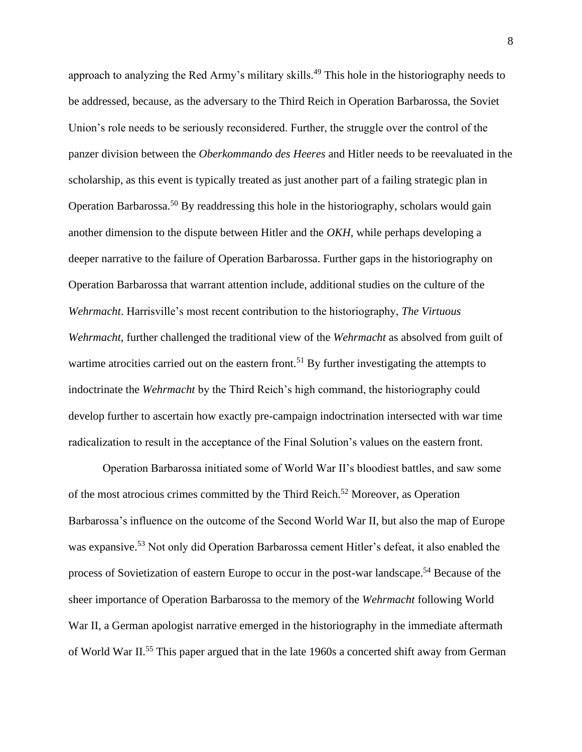approach to analyzing the Red Army's military skills.<sup>49</sup> This hole in the historiography needs to be addressed, because, as the adversary to the Third Reich in Operation Barbarossa, the Soviet Union's role needs to be seriously reconsidered. Further, the struggle over the control of the panzer division between the *Oberkommando des Heeres* and Hitler needs to be reevaluated in the scholarship, as this event is typically treated as just another part of a failing strategic plan in Operation Barbarossa.<sup>50</sup> By readdressing this hole in the historiography, scholars would gain another dimension to the dispute between Hitler and the *OKH*, while perhaps developing a deeper narrative to the failure of Operation Barbarossa. Further gaps in the historiography on Operation Barbarossa that warrant attention include, additional studies on the culture of the *Wehrmacht*. Harrisville's most recent contribution to the historiography, *The Virtuous Wehrmacht*, further challenged the traditional view of the *Wehrmacht* as absolved from guilt of wartime atrocities carried out on the eastern front.<sup>51</sup> By further investigating the attempts to indoctrinate the *Wehrmacht* by the Third Reich's high command, the historiography could develop further to ascertain how exactly pre-campaign indoctrination intersected with war time radicalization to result in the acceptance of the Final Solution's values on the eastern front.

Operation Barbarossa initiated some of World War II's bloodiest battles, and saw some of the most atrocious crimes committed by the Third Reich.<sup>52</sup> Moreover, as Operation Barbarossa's influence on the outcome of the Second World War II, but also the map of Europe was expansive.<sup>53</sup> Not only did Operation Barbarossa cement Hitler's defeat, it also enabled the process of Sovietization of eastern Europe to occur in the post-war landscape.<sup>54</sup> Because of the sheer importance of Operation Barbarossa to the memory of the *Wehrmacht* following World War II, a German apologist narrative emerged in the historiography in the immediate aftermath of World War II.<sup>55</sup> This paper argued that in the late 1960s a concerted shift away from German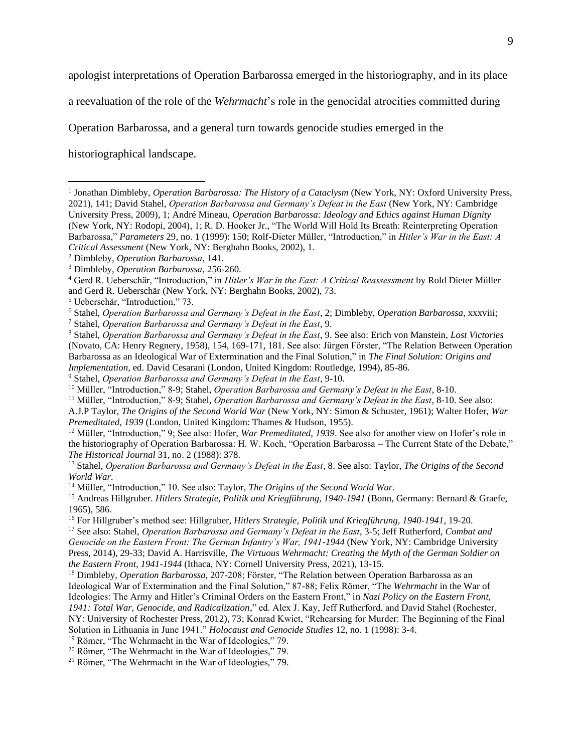apologist interpretations of Operation Barbarossa emerged in the historiography, and in its place

a reevaluation of the role of the *Wehrmacht*'s role in the genocidal atrocities committed during

Operation Barbarossa, and a general turn towards genocide studies emerged in the

historiographical landscape.

<sup>7</sup> Stahel, *Operation Barbarossa and Germany's Defeat in the East*, 9.

<sup>12</sup> Müller, "Introduction," 9; See also: Hofer, *War Premeditated, 1939*. See also for another view on Hofer's role in the historiography of Operation Barbarossa: H. W. Koch, "Operation Barbarossa – The Current State of the Debate," *The Historical Journal* 31, no. 2 (1988): 378.

<sup>&</sup>lt;sup>1</sup> Jonathan Dimbleby, *Operation Barbarossa: The History of a Cataclysm* (New York, NY: Oxford University Press, 2021), 141; David Stahel, *Operation Barbarossa and Germany's Defeat in the East* (New York, NY: Cambridge University Press, 2009), 1; André Mineau, *Operation Barbarossa: Ideology and Ethics against Human Dignity* (New York, NY: Rodopi, 2004), 1; R. D. Hooker Jr., "The World Will Hold Its Breath: Reinterpreting Operation Barbarossa," *Parameters* 29, no. 1 (1999): 150; Rolf-Dieter Müller, "Introduction," in *Hitler's War in the East: A Critical Assessment* (New York, NY: Berghahn Books, 2002), 1.

<sup>2</sup> Dimbleby, *Operation Barbarossa*, 141.

<sup>3</sup> Dimbleby, *Operation Barbarossa*, 256-260.

<sup>4</sup> Gerd R. Ueberschär, "Introduction," in *Hitler's War in the East: A Critical Reassessment* by Rold Dieter Müller and Gerd R. Ueberschär (New York, NY: Berghahn Books, 2002), 73.

<sup>5</sup> Ueberschär, "Introduction," 73.

<sup>6</sup> Stahel, *Operation Barbarossa and Germany's Defeat in the East*, 2; Dimbleby, *Operation Barbarossa*, xxxviii;

<sup>8</sup> Stahel, *Operation Barbarossa and Germany's Defeat in the East*, 9. See also: Erich von Manstein, *Lost Victories* (Novato, CA: Henry Regnery, 1958), 154, 169-171, 181. See also: Jürgen Förster, "The Relation Between Operation Barbarossa as an Ideological War of Extermination and the Final Solution," in *The Final Solution: Origins and Implementation*, ed. David Cesarani (London, United Kingdom: Routledge, 1994), 85-86.

<sup>9</sup> Stahel, *Operation Barbarossa and Germany's Defeat in the East*, 9-10.

<sup>10</sup> Müller, "Introduction," 8-9; Stahel, *Operation Barbarossa and Germany's Defeat in the East*, 8-10.

<sup>11</sup> Müller, "Introduction," 8-9; Stahel, *Operation Barbarossa and Germany's Defeat in the East*, 8-10. See also:

A.J.P Taylor, *The Origins of the Second World War* (New York, NY: Simon & Schuster, 1961); Walter Hofer, *War Premeditated, 1939* (London, United Kingdom: Thames & Hudson, 1955).

<sup>13</sup> Stahel, *Operation Barbarossa and Germany's Defeat in the East*, 8. See also: Taylor, *The Origins of the Second World War*.

<sup>14</sup> Müller, "Introduction," 10. See also: Taylor, *The Origins of the Second World War*.

<sup>15</sup> Andreas Hillgruber. *Hitlers Strategie, Politik und Kriegführung, 1940-1941* (Bonn, Germany: Bernard & Graefe, 1965), 586.

<sup>16</sup> For Hillgruber's method see: Hillgruber, *Hitlers Strategie, Politik und Kriegführung, 1940-1941*, 19-20.

<sup>17</sup> See also: Stahel, *Operation Barbarossa and Germany's Defeat in the East*, 3-5; Jeff Rutherford, *Combat and Genocide on the Eastern Front: The German Infantry's War, 1941-1944* (New York, NY: Cambridge University Press, 2014), 29-33; David A. Harrisville, *The Virtuous Wehrmacht: Creating the Myth of the German Soldier on the Eastern Front, 1941-1944* (Ithaca, NY: Cornell University Press, 2021), 13-15.

<sup>18</sup> Dimbleby, *Operation Barbarossa*, 207-208; Förster, "The Relation between Operation Barbarossa as an Ideological War of Extermination and the Final Solution," 87-88; Felix Römer, "The *Wehrmacht* in the War of Ideologies: The Army and Hitler's Criminal Orders on the Eastern Front," in *Nazi Policy on the Eastern Front, 1941: Total War, Genocide, and Radicalization*," ed. Alex J. Kay, Jeff Rutherford, and David Stahel (Rochester,

NY: University of Rochester Press, 2012), 73; Konrad Kwiet, "Rehearsing for Murder: The Beginning of the Final Solution in Lithuania in June 1941." *Holocaust and Genocide Studies* 12, no. 1 (1998): 3-4.

<sup>19</sup> Römer, "The Wehrmacht in the War of Ideologies," 79.

<sup>20</sup> Römer, "The Wehrmacht in the War of Ideologies," 79.

<sup>21</sup> Römer, "The Wehrmacht in the War of Ideologies," 79.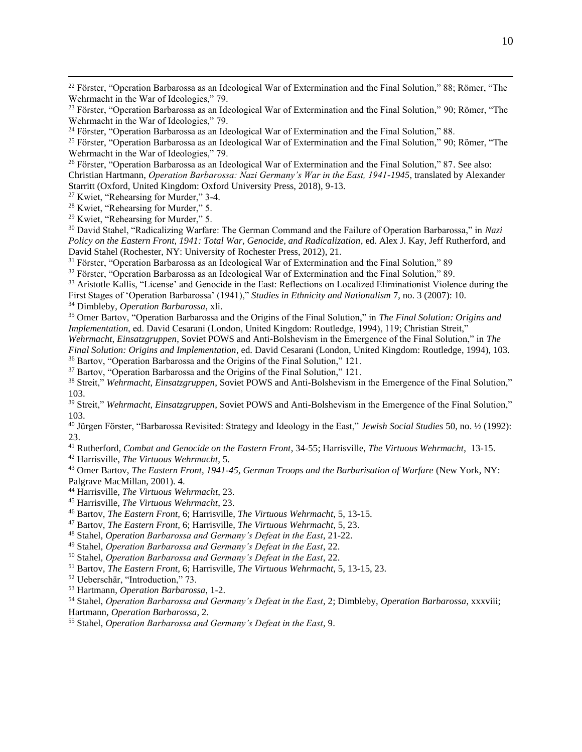<sup>25</sup> Förster, "Operation Barbarossa as an Ideological War of Extermination and the Final Solution," 90; Römer, "The Wehrmacht in the War of Ideologies," 79.

<sup>26</sup> Förster, "Operation Barbarossa as an Ideological War of Extermination and the Final Solution," 87. See also: Christian Hartmann, *Operation Barbarossa: Nazi Germany's War in the East, 1941-1945*, translated by Alexander Starritt (Oxford, United Kingdom: Oxford University Press, 2018), 9-13.

<sup>27</sup> Kwiet, "Rehearsing for Murder," 3-4.

<sup>28</sup> Kwiet, "Rehearsing for Murder," 5.

<sup>29</sup> Kwiet, "Rehearsing for Murder," 5.

<sup>30</sup> David Stahel, "Radicalizing Warfare: The German Command and the Failure of Operation Barbarossa," in *Nazi Policy on the Eastern Front, 1941: Total War, Genocide, and Radicalization*, ed. Alex J. Kay, Jeff Rutherford, and David Stahel (Rochester, NY: University of Rochester Press, 2012), 21.

<sup>31</sup> Förster, "Operation Barbarossa as an Ideological War of Extermination and the Final Solution," 89

<sup>32</sup> Förster, "Operation Barbarossa as an Ideological War of Extermination and the Final Solution," 89.

<sup>33</sup> Aristotle Kallis, "License' and Genocide in the East: Reflections on Localized Eliminationist Violence during the First Stages of 'Operation Barbarossa' (1941)," *Studies in Ethnicity and Nationalism* 7, no. 3 (2007): 10.

<sup>34</sup> Dimbleby, *Operation Barbarossa*, xli.

<sup>35</sup> Omer Bartov, "Operation Barbarossa and the Origins of the Final Solution," in *The Final Solution: Origins and Implementation*, ed. David Cesarani (London, United Kingdom: Routledge, 1994), 119; Christian Streit,"

*Wehrmacht*, *Einsatzgruppen*, Soviet POWS and Anti-Bolshevism in the Emergence of the Final Solution," in *The Final Solution: Origins and Implementation*, ed. David Cesarani (London, United Kingdom: Routledge, 1994), 103. <sup>36</sup> Bartov, "Operation Barbarossa and the Origins of the Final Solution," 121.

<sup>37</sup> Bartov, "Operation Barbarossa and the Origins of the Final Solution," 121.

<sup>38</sup> Streit," *Wehrmacht*, *Einsatzgruppen*, Soviet POWS and Anti-Bolshevism in the Emergence of the Final Solution," 103.

<sup>39</sup> Streit," *Wehrmacht*, *Einsatzgruppen*, Soviet POWS and Anti-Bolshevism in the Emergence of the Final Solution," 103.

<sup>40</sup> Jürgen Förster, "Barbarossa Revisited: Strategy and Ideology in the East," *Jewish Social Studies* 50, no. ½ (1992): 23.

<sup>41</sup> Rutherford, *Combat and Genocide on the Eastern Front*, 34-55; Harrisville, *The Virtuous Wehrmacht*, 13-15.

<sup>42</sup> Harrisville, *The Virtuous Wehrmacht*, 5.

<sup>43</sup> Omer Bartov, *The Eastern Front, 1941-45, German Troops and the Barbarisation of Warfare* (New York, NY: Palgrave MacMillan, 2001). 4.

<sup>44</sup> Harrisville, *The Virtuous Wehrmacht*, 23.

<sup>45</sup> Harrisville, *The Virtuous Wehrmacht*, 23.

<sup>46</sup> Bartov, *The Eastern Front,* 6; Harrisville, *The Virtuous Wehrmacht*, 5, 13-15.

<sup>47</sup> Bartov, *The Eastern Front,* 6; Harrisville, *The Virtuous Wehrmacht*, 5, 23.

<sup>48</sup> Stahel, *Operation Barbarossa and Germany's Defeat in the East*, 21-22.

<sup>49</sup> Stahel, *Operation Barbarossa and Germany's Defeat in the East*, 22.

<sup>50</sup> Stahel, *Operation Barbarossa and Germany's Defeat in the East*, 22.

<sup>51</sup> Bartov, *The Eastern Front,* 6; Harrisville, *The Virtuous Wehrmacht*, 5, 13-15, 23.

<sup>52</sup> Ueberschär, "Introduction," 73.

<sup>53</sup> Hartmann, *Operation Barbarossa*, 1-2.

<sup>54</sup> Stahel, *Operation Barbarossa and Germany's Defeat in the East*, 2; Dimbleby, *Operation Barbarossa*, xxxviii; Hartmann, *Operation Barbarossa*, 2.

<sup>55</sup> Stahel, *Operation Barbarossa and Germany's Defeat in the East*, 9.

<sup>&</sup>lt;sup>22</sup> Förster, "Operation Barbarossa as an Ideological War of Extermination and the Final Solution," 88; Römer, "The Wehrmacht in the War of Ideologies," 79.

<sup>&</sup>lt;sup>23</sup> Förster, "Operation Barbarossa as an Ideological War of Extermination and the Final Solution," 90; Römer, "The Wehrmacht in the War of Ideologies," 79.

<sup>24</sup> Förster, "Operation Barbarossa as an Ideological War of Extermination and the Final Solution," 88.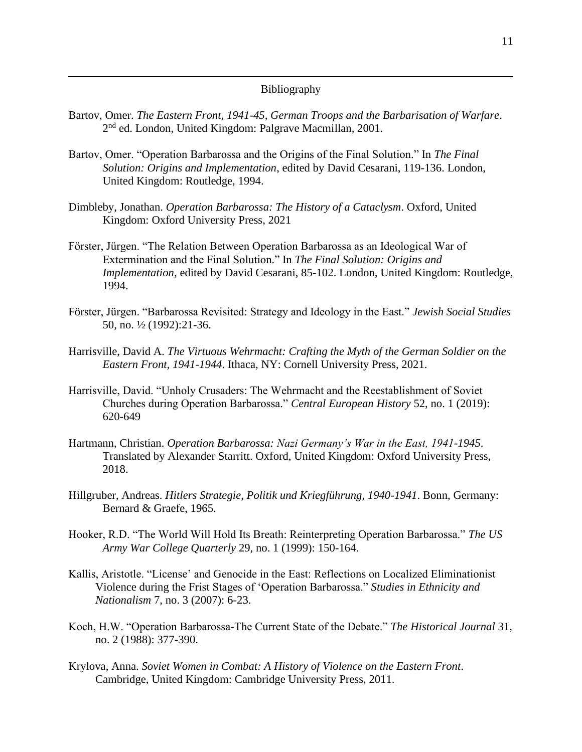## Bibliography

- Bartov, Omer. *The Eastern Front, 1941-45, German Troops and the Barbarisation of Warfare*. 2<sup>nd</sup> ed. London, United Kingdom: Palgrave Macmillan, 2001.
- Bartov, Omer. "Operation Barbarossa and the Origins of the Final Solution." In *The Final Solution: Origins and Implementation*, edited by David Cesarani, 119-136. London, United Kingdom: Routledge, 1994.
- Dimbleby, Jonathan. *Operation Barbarossa: The History of a Cataclysm*. Oxford, United Kingdom: Oxford University Press, 2021
- Förster, Jürgen. "The Relation Between Operation Barbarossa as an Ideological War of Extermination and the Final Solution." In *The Final Solution: Origins and Implementation*, edited by David Cesarani, 85-102. London, United Kingdom: Routledge, 1994.
- Förster, Jürgen. "Barbarossa Revisited: Strategy and Ideology in the East." *Jewish Social Studies* 50, no. ½ (1992):21-36.
- Harrisville, David A. *The Virtuous Wehrmacht: Crafting the Myth of the German Soldier on the Eastern Front, 1941-1944*. Ithaca, NY: Cornell University Press, 2021.
- Harrisville, David. "Unholy Crusaders: The Wehrmacht and the Reestablishment of Soviet Churches during Operation Barbarossa." *Central European History* 52, no. 1 (2019): 620-649
- Hartmann, Christian. *Operation Barbarossa: Nazi Germany's War in the East, 1941-1945*. Translated by Alexander Starritt. Oxford, United Kingdom: Oxford University Press, 2018.
- Hillgruber, Andreas. *Hitlers Strategie, Politik und Kriegführung, 1940-1941*. Bonn, Germany: Bernard & Graefe, 1965.
- Hooker, R.D. "The World Will Hold Its Breath: Reinterpreting Operation Barbarossa." *The US Army War College Quarterly* 29, no. 1 (1999): 150-164.
- Kallis, Aristotle. "License' and Genocide in the East: Reflections on Localized Eliminationist Violence during the Frist Stages of 'Operation Barbarossa." *Studies in Ethnicity and Nationalism* 7, no. 3 (2007): 6-23.
- Koch, H.W. "Operation Barbarossa-The Current State of the Debate." *The Historical Journal* 31, no. 2 (1988): 377-390.
- Krylova, Anna. *Soviet Women in Combat: A History of Violence on the Eastern Front*. Cambridge, United Kingdom: Cambridge University Press, 2011.